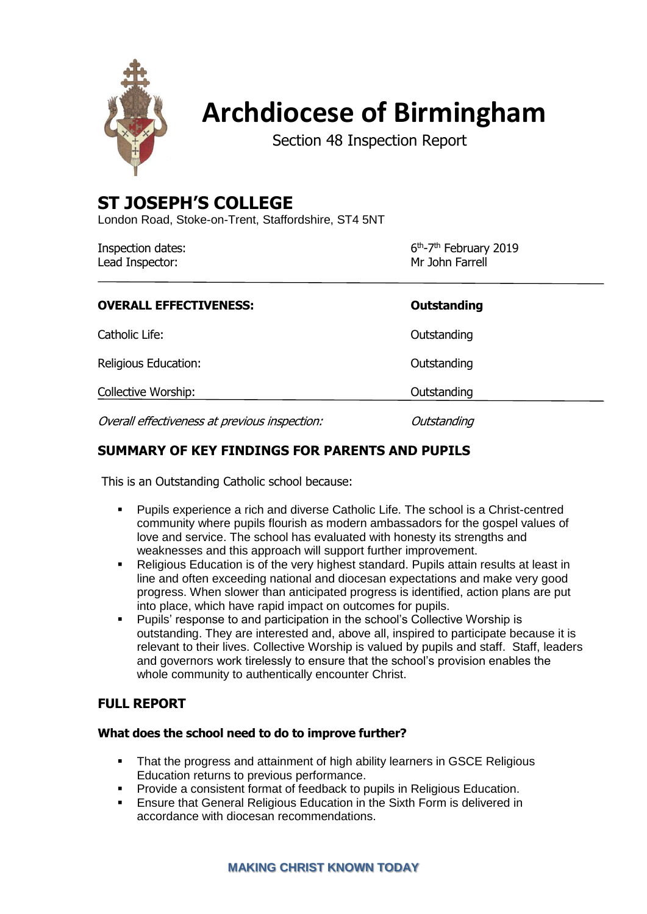

# **Archdiocese of Birmingham**

Section 48 Inspection Report

## **ST JOSEPH'S COLLEGE**

London Road, Stoke-on-Trent, Staffordshire, ST4 5NT

| Inspection dates: | 6 <sup>th</sup> -7 <sup>th</sup> February 2019 |
|-------------------|------------------------------------------------|
| Lead Inspector:   | Mr John Farrell                                |

| <b>OVERALL EFFECTIVENESS:</b>                 | <b>Outstanding</b> |
|-----------------------------------------------|--------------------|
| Catholic Life:                                | Outstanding        |
| Religious Education:                          | Outstanding        |
| <b>Collective Worship:</b>                    | Outstanding        |
| Overall effectiveness at previous inspection: | Outstanding        |

## **SUMMARY OF KEY FINDINGS FOR PARENTS AND PUPILS**

This is an Outstanding Catholic school because:

- Pupils experience a rich and diverse Catholic Life. The school is a Christ-centred community where pupils flourish as modern ambassadors for the gospel values of love and service. The school has evaluated with honesty its strengths and weaknesses and this approach will support further improvement.
- Religious Education is of the very highest standard. Pupils attain results at least in line and often exceeding national and diocesan expectations and make very good progress. When slower than anticipated progress is identified, action plans are put into place, which have rapid impact on outcomes for pupils.
- Pupils' response to and participation in the school's Collective Worship is outstanding. They are interested and, above all, inspired to participate because it is relevant to their lives. Collective Worship is valued by pupils and staff. Staff, leaders and governors work tirelessly to ensure that the school's provision enables the whole community to authentically encounter Christ.

## **FULL REPORT**

#### **What does the school need to do to improve further?**

- That the progress and attainment of high ability learners in GSCE Religious Education returns to previous performance.
- Provide a consistent format of feedback to pupils in Religious Education.
- Ensure that General Religious Education in the Sixth Form is delivered in accordance with diocesan recommendations.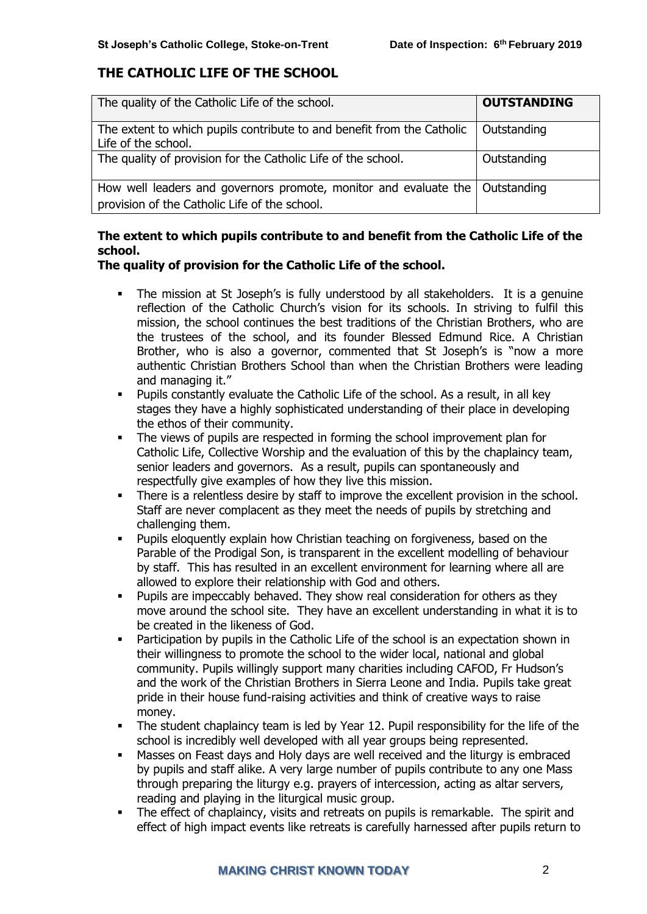## **THE CATHOLIC LIFE OF THE SCHOOL**

| The quality of the Catholic Life of the school.                                                                                 | <b>OUTSTANDING</b> |
|---------------------------------------------------------------------------------------------------------------------------------|--------------------|
| The extent to which pupils contribute to and benefit from the Catholic<br>Life of the school.                                   | Outstanding        |
| The quality of provision for the Catholic Life of the school.                                                                   | Outstanding        |
| How well leaders and governors promote, monitor and evaluate the   Outstanding<br>provision of the Catholic Life of the school. |                    |

### **The extent to which pupils contribute to and benefit from the Catholic Life of the school.**

#### **The quality of provision for the Catholic Life of the school.**

- The mission at St Joseph's is fully understood by all stakeholders. It is a genuine reflection of the Catholic Church's vision for its schools. In striving to fulfil this mission, the school continues the best traditions of the Christian Brothers, who are the trustees of the school, and its founder Blessed Edmund Rice. A Christian Brother, who is also a governor, commented that St Joseph's is "now a more authentic Christian Brothers School than when the Christian Brothers were leading and managing it."
- Pupils constantly evaluate the Catholic Life of the school. As a result, in all key stages they have a highly sophisticated understanding of their place in developing the ethos of their community.
- The views of pupils are respected in forming the school improvement plan for Catholic Life, Collective Worship and the evaluation of this by the chaplaincy team, senior leaders and governors. As a result, pupils can spontaneously and respectfully give examples of how they live this mission.
- There is a relentless desire by staff to improve the excellent provision in the school. Staff are never complacent as they meet the needs of pupils by stretching and challenging them.
- Pupils eloquently explain how Christian teaching on forgiveness, based on the Parable of the Prodigal Son, is transparent in the excellent modelling of behaviour by staff. This has resulted in an excellent environment for learning where all are allowed to explore their relationship with God and others.
- **•** Pupils are impeccably behaved. They show real consideration for others as they move around the school site. They have an excellent understanding in what it is to be created in the likeness of God.
- Participation by pupils in the Catholic Life of the school is an expectation shown in their willingness to promote the school to the wider local, national and global community. Pupils willingly support many charities including CAFOD, Fr Hudson's and the work of the Christian Brothers in Sierra Leone and India. Pupils take great pride in their house fund-raising activities and think of creative ways to raise money.
- **•** The student chaplaincy team is led by Year 12. Pupil responsibility for the life of the school is incredibly well developed with all year groups being represented.
- Masses on Feast days and Holy days are well received and the liturgy is embraced by pupils and staff alike. A very large number of pupils contribute to any one Mass through preparing the liturgy e.g. prayers of intercession, acting as altar servers, reading and playing in the liturgical music group.
- **•** The effect of chaplaincy, visits and retreats on pupils is remarkable. The spirit and effect of high impact events like retreats is carefully harnessed after pupils return to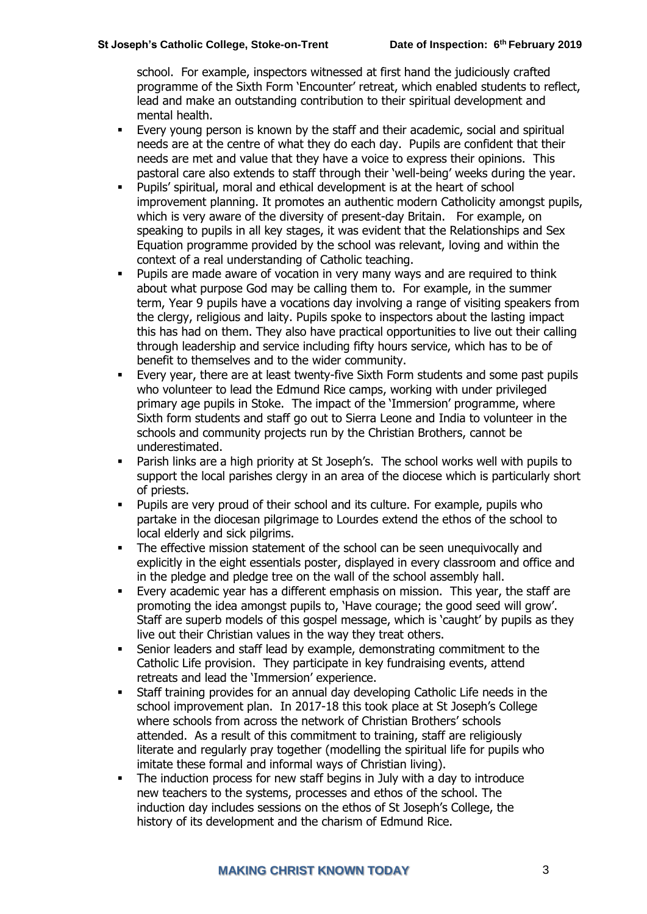school. For example, inspectors witnessed at first hand the judiciously crafted programme of the Sixth Form 'Encounter' retreat, which enabled students to reflect, lead and make an outstanding contribution to their spiritual development and mental health.

- Every young person is known by the staff and their academic, social and spiritual needs are at the centre of what they do each day. Pupils are confident that their needs are met and value that they have a voice to express their opinions. This pastoral care also extends to staff through their 'well-being' weeks during the year.
- Pupils' spiritual, moral and ethical development is at the heart of school improvement planning. It promotes an authentic modern Catholicity amongst pupils, which is very aware of the diversity of present-day Britain. For example, on speaking to pupils in all key stages, it was evident that the Relationships and Sex Equation programme provided by the school was relevant, loving and within the context of a real understanding of Catholic teaching.
- Pupils are made aware of vocation in very many ways and are required to think about what purpose God may be calling them to. For example, in the summer term, Year 9 pupils have a vocations day involving a range of visiting speakers from the clergy, religious and laity. Pupils spoke to inspectors about the lasting impact this has had on them. They also have practical opportunities to live out their calling through leadership and service including fifty hours service, which has to be of benefit to themselves and to the wider community.
- Every year, there are at least twenty-five Sixth Form students and some past pupils who volunteer to lead the Edmund Rice camps, working with under privileged primary age pupils in Stoke. The impact of the 'Immersion' programme, where Sixth form students and staff go out to Sierra Leone and India to volunteer in the schools and community projects run by the Christian Brothers, cannot be underestimated.
- **•** Parish links are a high priority at St Joseph's. The school works well with pupils to support the local parishes clergy in an area of the diocese which is particularly short of priests.
- Pupils are very proud of their school and its culture. For example, pupils who partake in the diocesan pilgrimage to Lourdes extend the ethos of the school to local elderly and sick pilgrims.
- The effective mission statement of the school can be seen unequivocally and explicitly in the eight essentials poster, displayed in every classroom and office and in the pledge and pledge tree on the wall of the school assembly hall.
- Every academic year has a different emphasis on mission. This year, the staff are promoting the idea amongst pupils to, 'Have courage; the good seed will grow'. Staff are superb models of this gospel message, which is 'caught' by pupils as they live out their Christian values in the way they treat others.
- Senior leaders and staff lead by example, demonstrating commitment to the Catholic Life provision. They participate in key fundraising events, attend retreats and lead the 'Immersion' experience.
- Staff training provides for an annual day developing Catholic Life needs in the school improvement plan. In 2017-18 this took place at St Joseph's College where schools from across the network of Christian Brothers' schools attended. As a result of this commitment to training, staff are religiously literate and regularly pray together (modelling the spiritual life for pupils who imitate these formal and informal ways of Christian living).
- The induction process for new staff begins in July with a day to introduce new teachers to the systems, processes and ethos of the school. The induction day includes sessions on the ethos of St Joseph's College, the history of its development and the charism of Edmund Rice.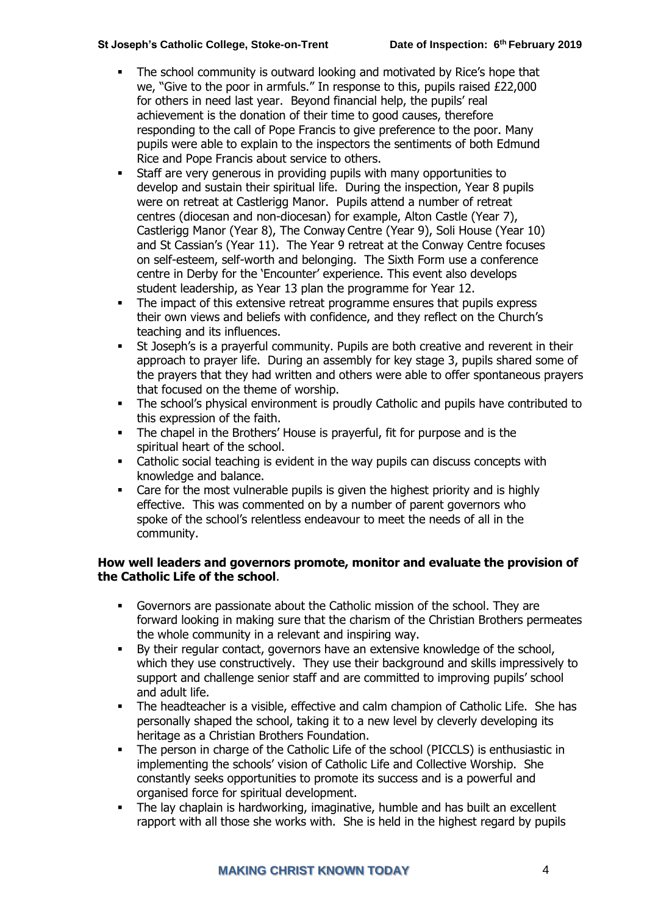- The school community is outward looking and motivated by Rice's hope that we, "Give to the poor in armfuls." In response to this, pupils raised £22,000 for others in need last year. Beyond financial help, the pupils' real achievement is the donation of their time to good causes, therefore responding to the call of Pope Francis to give preference to the poor. Many pupils were able to explain to the inspectors the sentiments of both Edmund Rice and Pope Francis about service to others.
- Staff are very generous in providing pupils with many opportunities to develop and sustain their spiritual life. During the inspection, Year 8 pupils were on retreat at Castlerigg Manor. Pupils attend a number of retreat centres (diocesan and non-diocesan) for example, Alton Castle (Year 7), Castlerigg Manor (Year 8), The Conway Centre (Year 9), Soli House (Year 10) and St Cassian's (Year 11). The Year 9 retreat at the Conway Centre focuses on self-esteem, self-worth and belonging. The Sixth Form use a conference centre in Derby for the 'Encounter' experience. This event also develops student leadership, as Year 13 plan the programme for Year 12.
- **•** The impact of this extensive retreat programme ensures that pupils express their own views and beliefs with confidence, and they reflect on the Church's teaching and its influences.
- **EXECT** St Joseph's is a prayerful community. Pupils are both creative and reverent in their approach to prayer life. During an assembly for key stage 3, pupils shared some of the prayers that they had written and others were able to offer spontaneous prayers that focused on the theme of worship.
- **•** The school's physical environment is proudly Catholic and pupils have contributed to this expression of the faith.
- The chapel in the Brothers' House is prayerful, fit for purpose and is the spiritual heart of the school.
- Catholic social teaching is evident in the way pupils can discuss concepts with knowledge and balance.
- Care for the most vulnerable pupils is given the highest priority and is highly effective. This was commented on by a number of parent governors who spoke of the school's relentless endeavour to meet the needs of all in the community.

#### **How well leaders and governors promote, monitor and evaluate the provision of the Catholic Life of the school**.

- Governors are passionate about the Catholic mission of the school. They are forward looking in making sure that the charism of the Christian Brothers permeates the whole community in a relevant and inspiring way.
- By their regular contact, governors have an extensive knowledge of the school, which they use constructively. They use their background and skills impressively to support and challenge senior staff and are committed to improving pupils' school and adult life.
- The headteacher is a visible, effective and calm champion of Catholic Life. She has personally shaped the school, taking it to a new level by cleverly developing its heritage as a Christian Brothers Foundation.
- The person in charge of the Catholic Life of the school (PICCLS) is enthusiastic in implementing the schools' vision of Catholic Life and Collective Worship. She constantly seeks opportunities to promote its success and is a powerful and organised force for spiritual development.
- The lay chaplain is hardworking, imaginative, humble and has built an excellent rapport with all those she works with. She is held in the highest regard by pupils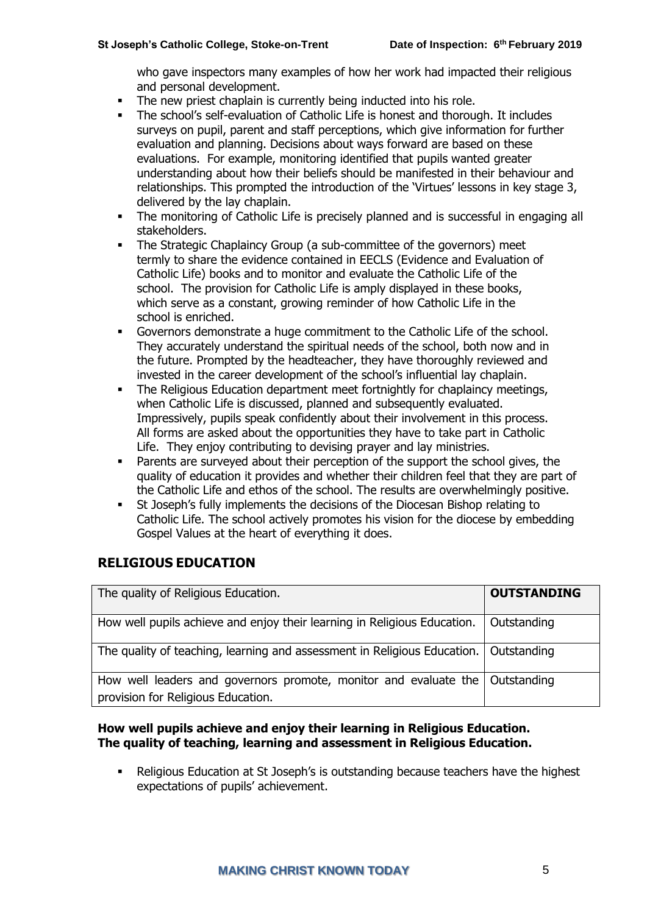who gave inspectors many examples of how her work had impacted their religious and personal development.

- The new priest chaplain is currently being inducted into his role.
- The school's self-evaluation of Catholic Life is honest and thorough. It includes surveys on pupil, parent and staff perceptions, which give information for further evaluation and planning. Decisions about ways forward are based on these evaluations. For example, monitoring identified that pupils wanted greater understanding about how their beliefs should be manifested in their behaviour and relationships. This prompted the introduction of the 'Virtues' lessons in key stage 3, delivered by the lay chaplain.
- The monitoring of Catholic Life is precisely planned and is successful in engaging all stakeholders.
- **•** The Strategic Chaplaincy Group (a sub-committee of the governors) meet termly to share the evidence contained in EECLS (Evidence and Evaluation of Catholic Life) books and to monitor and evaluate the Catholic Life of the school. The provision for Catholic Life is amply displayed in these books, which serve as a constant, growing reminder of how Catholic Life in the school is enriched.
- Governors demonstrate a huge commitment to the Catholic Life of the school. They accurately understand the spiritual needs of the school, both now and in the future. Prompted by the headteacher, they have thoroughly reviewed and invested in the career development of the school's influential lay chaplain.
- **•** The Religious Education department meet fortnightly for chaplaincy meetings, when Catholic Life is discussed, planned and subsequently evaluated. Impressively, pupils speak confidently about their involvement in this process. All forms are asked about the opportunities they have to take part in Catholic Life. They enjoy contributing to devising prayer and lay ministries.
- Parents are surveyed about their perception of the support the school gives, the quality of education it provides and whether their children feel that they are part of the Catholic Life and ethos of the school. The results are overwhelmingly positive.
- St Joseph's fully implements the decisions of the Diocesan Bishop relating to Catholic Life. The school actively promotes his vision for the diocese by embedding Gospel Values at the heart of everything it does.

## **RELIGIOUS EDUCATION**

| The quality of Religious Education.                                                                                  | <b>OUTSTANDING</b> |
|----------------------------------------------------------------------------------------------------------------------|--------------------|
| How well pupils achieve and enjoy their learning in Religious Education.                                             | Outstanding        |
| The quality of teaching, learning and assessment in Religious Education.   Outstanding                               |                    |
| How well leaders and governors promote, monitor and evaluate the   Outstanding<br>provision for Religious Education. |                    |

#### **How well pupils achieve and enjoy their learning in Religious Education. The quality of teaching, learning and assessment in Religious Education.**

Religious Education at St Joseph's is outstanding because teachers have the highest expectations of pupils' achievement.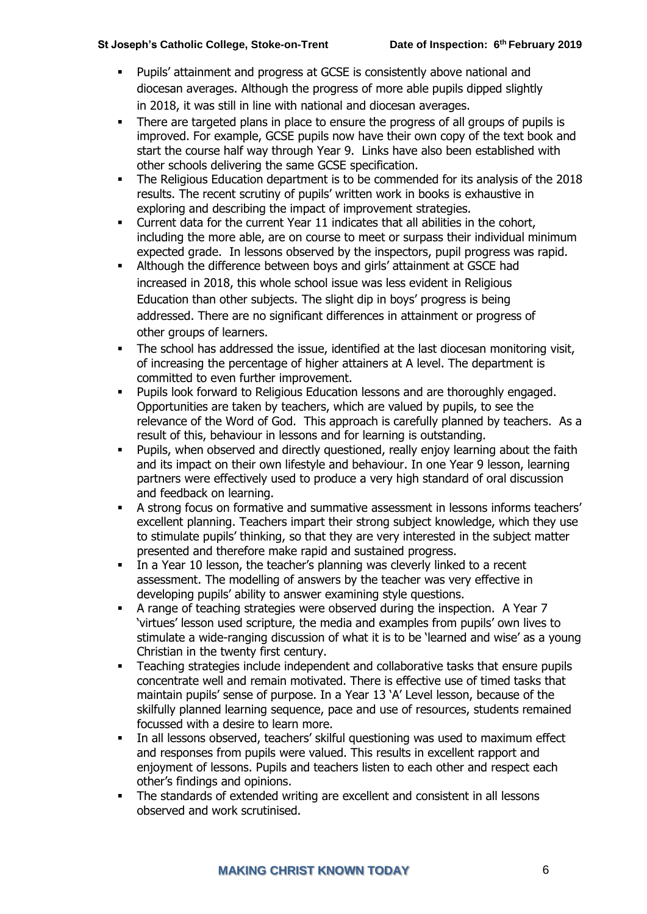- Pupils' attainment and progress at GCSE is consistently above national and diocesan averages. Although the progress of more able pupils dipped slightly in 2018, it was still in line with national and diocesan averages.
- There are targeted plans in place to ensure the progress of all groups of pupils is improved. For example, GCSE pupils now have their own copy of the text book and start the course half way through Year 9. Links have also been established with other schools delivering the same GCSE specification.
- The Religious Education department is to be commended for its analysis of the 2018 results. The recent scrutiny of pupils' written work in books is exhaustive in exploring and describing the impact of improvement strategies.
- Current data for the current Year 11 indicates that all abilities in the cohort, including the more able, are on course to meet or surpass their individual minimum expected grade. In lessons observed by the inspectors, pupil progress was rapid.
- Although the difference between boys and girls' attainment at GSCE had increased in 2018, this whole school issue was less evident in Religious Education than other subjects. The slight dip in boys' progress is being addressed. There are no significant differences in attainment or progress of other groups of learners.
- **•** The school has addressed the issue, identified at the last diocesan monitoring visit, of increasing the percentage of higher attainers at A level. The department is committed to even further improvement.
- Pupils look forward to Religious Education lessons and are thoroughly engaged. Opportunities are taken by teachers, which are valued by pupils, to see the relevance of the Word of God. This approach is carefully planned by teachers. As a result of this, behaviour in lessons and for learning is outstanding.
- Pupils, when observed and directly questioned, really enjoy learning about the faith and its impact on their own lifestyle and behaviour. In one Year 9 lesson, learning partners were effectively used to produce a very high standard of oral discussion and feedback on learning.
- A strong focus on formative and summative assessment in lessons informs teachers' excellent planning. Teachers impart their strong subject knowledge, which they use to stimulate pupils' thinking, so that they are very interested in the subject matter presented and therefore make rapid and sustained progress.
- **•** In a Year 10 lesson, the teacher's planning was cleverly linked to a recent assessment. The modelling of answers by the teacher was very effective in developing pupils' ability to answer examining style questions.
- A range of teaching strategies were observed during the inspection. A Year 7 'virtues' lesson used scripture, the media and examples from pupils' own lives to stimulate a wide-ranging discussion of what it is to be 'learned and wise' as a young Christian in the twenty first century.
- Teaching strategies include independent and collaborative tasks that ensure pupils concentrate well and remain motivated. There is effective use of timed tasks that maintain pupils' sense of purpose. In a Year 13 'A' Level lesson, because of the skilfully planned learning sequence, pace and use of resources, students remained focussed with a desire to learn more.
- In all lessons observed, teachers' skilful questioning was used to maximum effect and responses from pupils were valued. This results in excellent rapport and enjoyment of lessons. Pupils and teachers listen to each other and respect each other's findings and opinions.
- The standards of extended writing are excellent and consistent in all lessons observed and work scrutinised.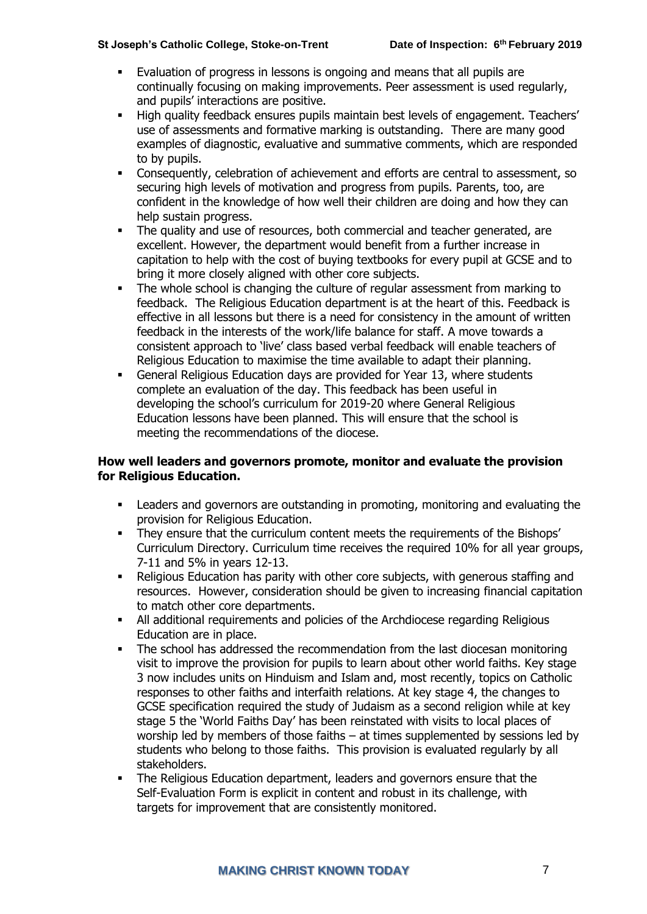- Evaluation of progress in lessons is ongoing and means that all pupils are continually focusing on making improvements. Peer assessment is used regularly, and pupils' interactions are positive.
- High quality feedback ensures pupils maintain best levels of engagement. Teachers' use of assessments and formative marking is outstanding. There are many good examples of diagnostic, evaluative and summative comments, which are responded to by pupils.
- Consequently, celebration of achievement and efforts are central to assessment, so securing high levels of motivation and progress from pupils. Parents, too, are confident in the knowledge of how well their children are doing and how they can help sustain progress.
- The quality and use of resources, both commercial and teacher generated, are excellent. However, the department would benefit from a further increase in capitation to help with the cost of buying textbooks for every pupil at GCSE and to bring it more closely aligned with other core subjects.
- **•** The whole school is changing the culture of regular assessment from marking to feedback. The Religious Education department is at the heart of this. Feedback is effective in all lessons but there is a need for consistency in the amount of written feedback in the interests of the work/life balance for staff. A move towards a consistent approach to 'live' class based verbal feedback will enable teachers of Religious Education to maximise the time available to adapt their planning.
- General Religious Education days are provided for Year 13, where students complete an evaluation of the day. This feedback has been useful in developing the school's curriculum for 2019-20 where General Religious Education lessons have been planned. This will ensure that the school is meeting the recommendations of the diocese.

#### **How well leaders and governors promote, monitor and evaluate the provision for Religious Education.**

- Leaders and governors are outstanding in promoting, monitoring and evaluating the provision for Religious Education.
- **•** They ensure that the curriculum content meets the requirements of the Bishops' Curriculum Directory. Curriculum time receives the required 10% for all year groups, 7-11 and 5% in years 12-13.
- Religious Education has parity with other core subjects, with generous staffing and resources. However, consideration should be given to increasing financial capitation to match other core departments.
- All additional requirements and policies of the Archdiocese regarding Religious Education are in place.
- The school has addressed the recommendation from the last diocesan monitoring visit to improve the provision for pupils to learn about other world faiths. Key stage 3 now includes units on Hinduism and Islam and, most recently, topics on Catholic responses to other faiths and interfaith relations. At key stage 4, the changes to GCSE specification required the study of Judaism as a second religion while at key stage 5 the 'World Faiths Day' has been reinstated with visits to local places of worship led by members of those faiths – at times supplemented by sessions led by students who belong to those faiths. This provision is evaluated regularly by all stakeholders.
- The Religious Education department, leaders and governors ensure that the Self-Evaluation Form is explicit in content and robust in its challenge, with targets for improvement that are consistently monitored.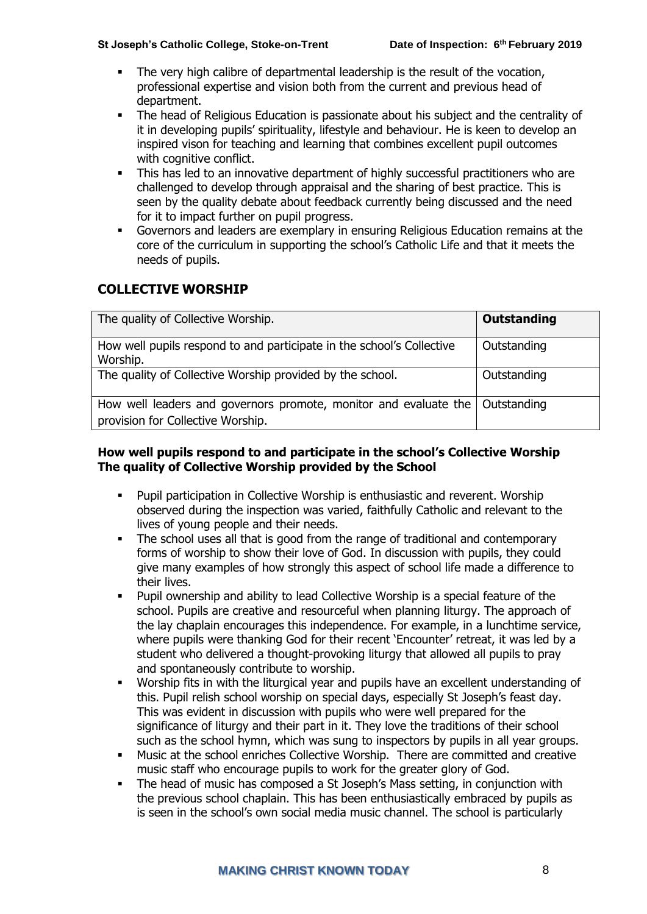- The very high calibre of departmental leadership is the result of the vocation, professional expertise and vision both from the current and previous head of department.
- The head of Religious Education is passionate about his subject and the centrality of it in developing pupils' spirituality, lifestyle and behaviour. He is keen to develop an inspired vison for teaching and learning that combines excellent pupil outcomes with cognitive conflict.
- **•** This has led to an innovative department of highly successful practitioners who are challenged to develop through appraisal and the sharing of best practice. This is seen by the quality debate about feedback currently being discussed and the need for it to impact further on pupil progress.
- Governors and leaders are exemplary in ensuring Religious Education remains at the core of the curriculum in supporting the school's Catholic Life and that it meets the needs of pupils.

## **COLLECTIVE WORSHIP**

| The quality of Collective Worship.                                                                                  | Outstanding |
|---------------------------------------------------------------------------------------------------------------------|-------------|
| How well pupils respond to and participate in the school's Collective<br>Worship.                                   | Outstanding |
| The quality of Collective Worship provided by the school.                                                           | Outstanding |
| How well leaders and governors promote, monitor and evaluate the   Outstanding<br>provision for Collective Worship. |             |

#### **How well pupils respond to and participate in the school's Collective Worship The quality of Collective Worship provided by the School**

- Pupil participation in Collective Worship is enthusiastic and reverent. Worship observed during the inspection was varied, faithfully Catholic and relevant to the lives of young people and their needs.
- The school uses all that is good from the range of traditional and contemporary forms of worship to show their love of God. In discussion with pupils, they could give many examples of how strongly this aspect of school life made a difference to their lives.
- Pupil ownership and ability to lead Collective Worship is a special feature of the school. Pupils are creative and resourceful when planning liturgy. The approach of the lay chaplain encourages this independence. For example, in a lunchtime service, where pupils were thanking God for their recent 'Encounter' retreat, it was led by a student who delivered a thought-provoking liturgy that allowed all pupils to pray and spontaneously contribute to worship.
- Worship fits in with the liturgical year and pupils have an excellent understanding of this. Pupil relish school worship on special days, especially St Joseph's feast day. This was evident in discussion with pupils who were well prepared for the significance of liturgy and their part in it. They love the traditions of their school such as the school hymn, which was sung to inspectors by pupils in all year groups.
- Music at the school enriches Collective Worship. There are committed and creative music staff who encourage pupils to work for the greater glory of God.
- The head of music has composed a St Joseph's Mass setting, in conjunction with the previous school chaplain. This has been enthusiastically embraced by pupils as is seen in the school's own social media music channel. The school is particularly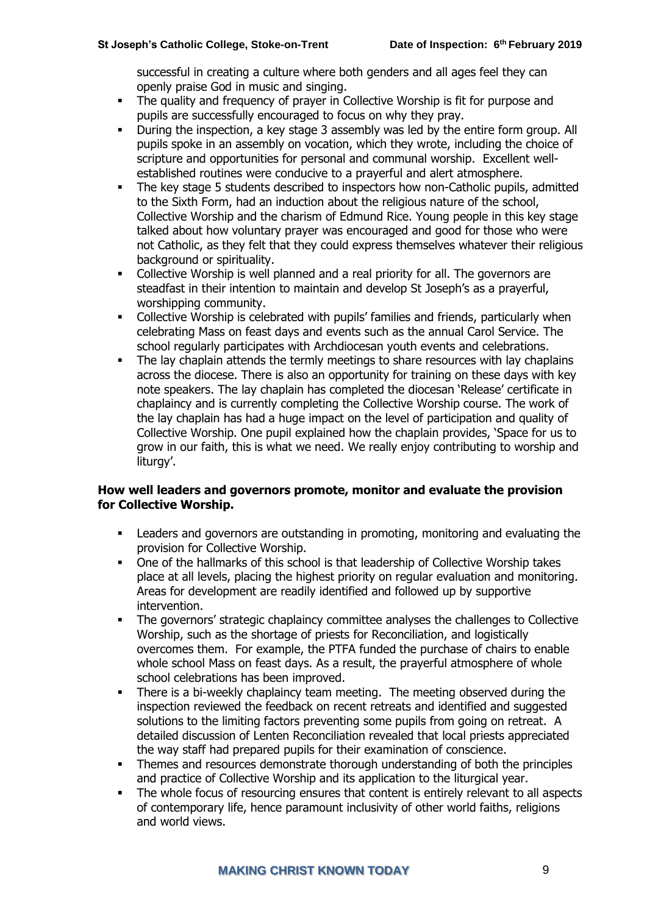successful in creating a culture where both genders and all ages feel they can openly praise God in music and singing.

- The quality and frequency of prayer in Collective Worship is fit for purpose and pupils are successfully encouraged to focus on why they pray.
- During the inspection, a key stage 3 assembly was led by the entire form group. All pupils spoke in an assembly on vocation, which they wrote, including the choice of scripture and opportunities for personal and communal worship. Excellent wellestablished routines were conducive to a prayerful and alert atmosphere.
- The key stage 5 students described to inspectors how non-Catholic pupils, admitted to the Sixth Form, had an induction about the religious nature of the school, Collective Worship and the charism of Edmund Rice. Young people in this key stage talked about how voluntary prayer was encouraged and good for those who were not Catholic, as they felt that they could express themselves whatever their religious background or spirituality.
- Collective Worship is well planned and a real priority for all. The governors are steadfast in their intention to maintain and develop St Joseph's as a prayerful, worshipping community.
- **•** Collective Worship is celebrated with pupils' families and friends, particularly when celebrating Mass on feast days and events such as the annual Carol Service. The school regularly participates with Archdiocesan youth events and celebrations.
- **•** The lay chaplain attends the termly meetings to share resources with lay chaplains across the diocese. There is also an opportunity for training on these days with key note speakers. The lay chaplain has completed the diocesan 'Release' certificate in chaplaincy and is currently completing the Collective Worship course. The work of the lay chaplain has had a huge impact on the level of participation and quality of Collective Worship. One pupil explained how the chaplain provides, 'Space for us to grow in our faith, this is what we need. We really enjoy contributing to worship and liturgy'.

#### **How well leaders and governors promote, monitor and evaluate the provision for Collective Worship.**

- Leaders and governors are outstanding in promoting, monitoring and evaluating the provision for Collective Worship.
- One of the hallmarks of this school is that leadership of Collective Worship takes place at all levels, placing the highest priority on regular evaluation and monitoring. Areas for development are readily identified and followed up by supportive intervention.
- The governors' strategic chaplaincy committee analyses the challenges to Collective Worship, such as the shortage of priests for Reconciliation, and logistically overcomes them. For example, the PTFA funded the purchase of chairs to enable whole school Mass on feast days. As a result, the prayerful atmosphere of whole school celebrations has been improved.
- There is a bi-weekly chaplaincy team meeting. The meeting observed during the inspection reviewed the feedback on recent retreats and identified and suggested solutions to the limiting factors preventing some pupils from going on retreat. A detailed discussion of Lenten Reconciliation revealed that local priests appreciated the way staff had prepared pupils for their examination of conscience.
- Themes and resources demonstrate thorough understanding of both the principles and practice of Collective Worship and its application to the liturgical year.
- The whole focus of resourcing ensures that content is entirely relevant to all aspects of contemporary life, hence paramount inclusivity of other world faiths, religions and world views.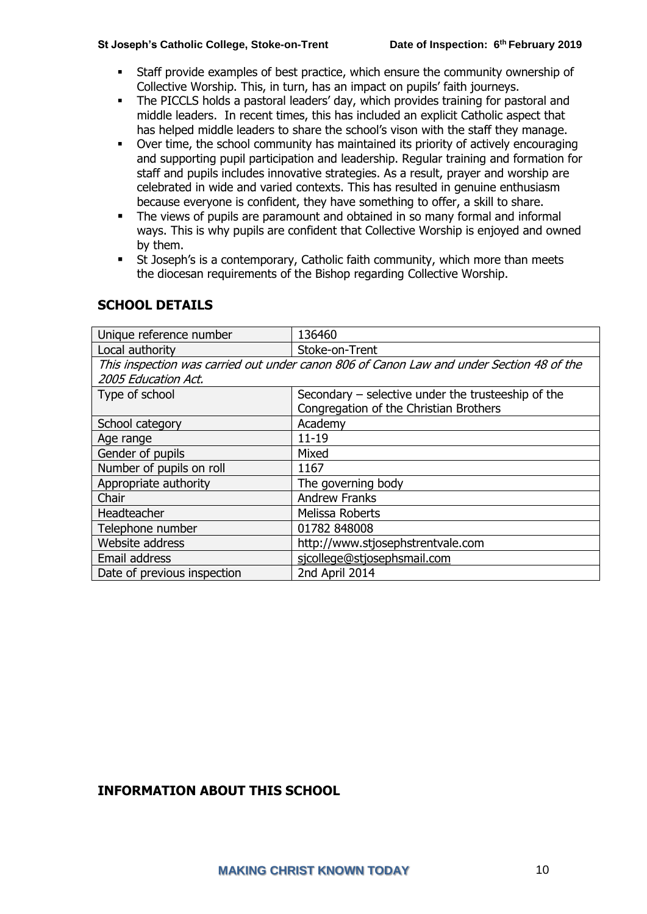- Staff provide examples of best practice, which ensure the community ownership of Collective Worship. This, in turn, has an impact on pupils' faith journeys.
- **The PICCLS holds a pastoral leaders' day, which provides training for pastoral and** middle leaders. In recent times, this has included an explicit Catholic aspect that has helped middle leaders to share the school's vison with the staff they manage.
- Over time, the school community has maintained its priority of actively encouraging and supporting pupil participation and leadership. Regular training and formation for staff and pupils includes innovative strategies. As a result, prayer and worship are celebrated in wide and varied contexts. This has resulted in genuine enthusiasm because everyone is confident, they have something to offer, a skill to share.
- The views of pupils are paramount and obtained in so many formal and informal ways. This is why pupils are confident that Collective Worship is enjoyed and owned by them.
- St Joseph's is a contemporary, Catholic faith community, which more than meets the diocesan requirements of the Bishop regarding Collective Worship.

| Unique reference number                                                                  | 136460                                               |
|------------------------------------------------------------------------------------------|------------------------------------------------------|
| Local authority                                                                          | Stoke-on-Trent                                       |
| This inspection was carried out under canon 806 of Canon Law and under Section 48 of the |                                                      |
| 2005 Education Act.                                                                      |                                                      |
| Type of school                                                                           | Secondary $-$ selective under the trusteeship of the |
|                                                                                          | Congregation of the Christian Brothers               |
| School category                                                                          | Academy                                              |
| Age range                                                                                | $11 - 19$                                            |
| Gender of pupils                                                                         | Mixed                                                |
| Number of pupils on roll                                                                 | 1167                                                 |
| Appropriate authority                                                                    | The governing body                                   |
| Chair                                                                                    | <b>Andrew Franks</b>                                 |
| Headteacher                                                                              | Melissa Roberts                                      |
| Telephone number                                                                         | 01782 848008                                         |
| Website address                                                                          | http://www.stjosephstrentvale.com                    |
| Email address                                                                            | sjcollege@stjosephsmail.com                          |
| Date of previous inspection                                                              | 2nd April 2014                                       |

#### **SCHOOL DETAILS**

#### **INFORMATION ABOUT THIS SCHOOL**